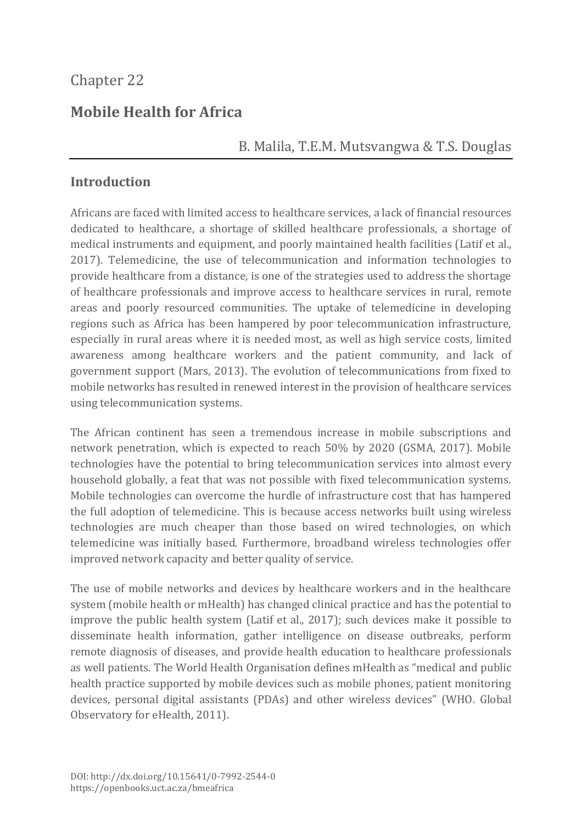# **Mobile Health for Africa**

## B. Malila, T.E.M. Mutsvangwa & T.S. Douglas

## **Introduction**

Africans are faced with limited access to healthcare services, a lack of financial resources dedicated to healthcare, a shortage of skilled healthcare professionals, a shortage of medical instruments and equipment, and poorly maintained health facilities (Latif et al., 2017). Telemedicine, the use of telecommunication and information technologies to provide healthcare from a distance, is one of the strategies used to address the shortage of healthcare professionals and improve access to healthcare services in rural, remote areas and poorly resourced communities. The uptake of telemedicine in developing regions such as Africa has been hampered by poor telecommunication infrastructure, especially in rural areas where it is needed most, as well as high service costs, limited awareness among healthcare workers and the patient community, and lack of government support (Mars, 2013). The evolution of telecommunications from fixed to mobile networks has resulted in renewed interest in the provision of healthcare services using telecommunication systems.

The African continent has seen a tremendous increase in mobile subscriptions and network penetration, which is expected to reach 50% by 2020 (GSMA, 2017). Mobile technologies have the potential to bring telecommunication services into almost every household globally, a feat that was not possible with fixed telecommunication systems. Mobile technologies can overcome the hurdle of infrastructure cost that has hampered the full adoption of telemedicine. This is because access networks built using wireless technologies are much cheaper than those based on wired technologies, on which telemedicine was initially based. Furthermore, broadband wireless technologies offer improved network capacity and better quality of service.

The use of mobile networks and devices by healthcare workers and in the healthcare system (mobile health or mHealth) has changed clinical practice and has the potential to improve the public health system (Latif et al., 2017); such devices make it possible to disseminate health information, gather intelligence on disease outbreaks, perform remote diagnosis of diseases, and provide health education to healthcare professionals as well patients. The World Health Organisation defines mHealth as "medical and public health practice supported by mobile devices such as mobile phones, patient monitoring devices, personal digital assistants (PDAs) and other wireless devices" (WHO. Global Observatory for eHealth, 2011).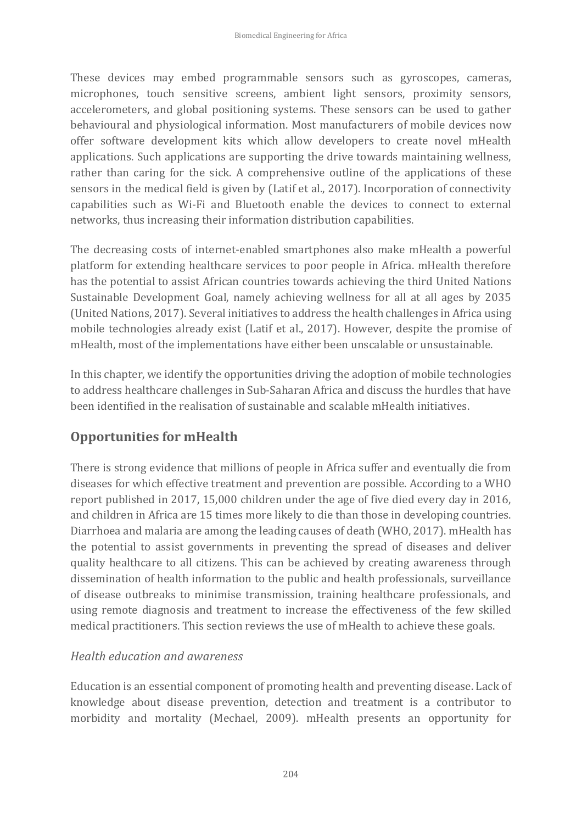These devices may embed programmable sensors such as gyroscopes, cameras, microphones, touch sensitive screens, ambient light sensors, proximity sensors, accelerometers, and global positioning systems. These sensors can be used to gather behavioural and physiological information. Most manufacturers of mobile devices now offer software development kits which allow developers to create novel mHealth applications. Such applications are supporting the drive towards maintaining wellness, rather than caring for the sick. A comprehensive outline of the applications of these sensors in the medical field is given by (Latif et al., 2017). Incorporation of connectivity capabilities such as Wi-Fi and Bluetooth enable the devices to connect to external networks, thus increasing their information distribution capabilities.

The decreasing costs of internet-enabled smartphones also make mHealth a powerful platform for extending healthcare services to poor people in Africa. mHealth therefore has the potential to assist African countries towards achieving the third United Nations Sustainable Development Goal, namely achieving wellness for all at all ages by 2035 (United Nations, 2017). Several initiatives to address the health challenges in Africa using mobile technologies already exist (Latif et al., 2017). However, despite the promise of mHealth, most of the implementations have either been unscalable or unsustainable.

In this chapter, we identify the opportunities driving the adoption of mobile technologies to address healthcare challenges in Sub-Saharan Africa and discuss the hurdles that have been identified in the realisation of sustainable and scalable mHealth initiatives.

# **Opportunities for mHealth**

There is strong evidence that millions of people in Africa suffer and eventually die from diseases for which effective treatment and prevention are possible. According to a WHO report published in 2017, 15,000 children under the age of five died every day in 2016, and children in Africa are 15 times more likely to die than those in developing countries. Diarrhoea and malaria are among the leading causes of death (WHO, 2017). mHealth has the potential to assist governments in preventing the spread of diseases and deliver quality healthcare to all citizens. This can be achieved by creating awareness through dissemination of health information to the public and health professionals, surveillance of disease outbreaks to minimise transmission, training healthcare professionals, and using remote diagnosis and treatment to increase the effectiveness of the few skilled medical practitioners. This section reviews the use of mHealth to achieve these goals.

### *Health education and awareness*

Education is an essential component of promoting health and preventing disease. Lack of knowledge about disease prevention, detection and treatment is a contributor to morbidity and mortality (Mechael, 2009). mHealth presents an opportunity for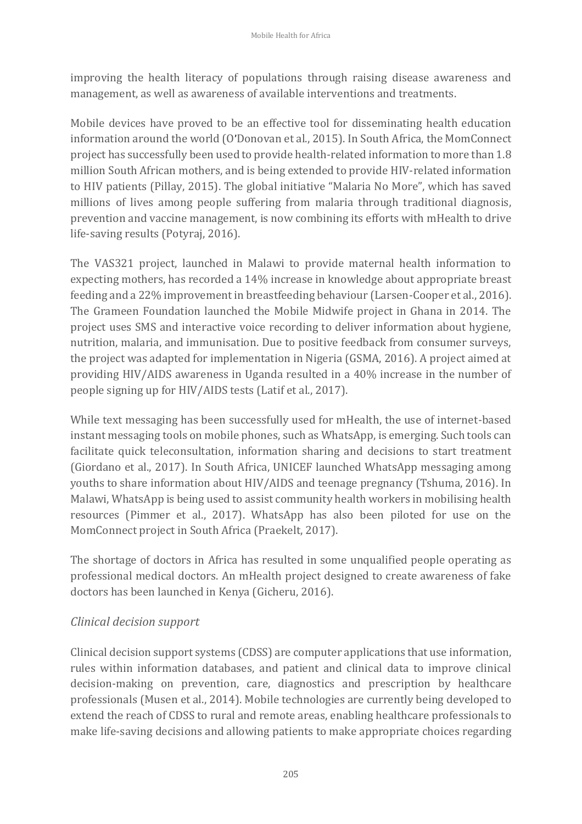improving the health literacy of populations through raising disease awareness and management, as well as awareness of available interventions and treatments.

Mobile devices have proved to be an effective tool for disseminating health education information around the world (O'Donovan et al., 2015). In South Africa, the MomConnect project has successfully been used to provide health-related information to more than 1.8 million South African mothers, and is being extended to provide HIV-related information to HIV patients (Pillay, 2015). The global initiative "Malaria No More", which has saved millions of lives among people suffering from malaria through traditional diagnosis, prevention and vaccine management, is now combining its efforts with mHealth to drive life-saving results (Potyraj, 2016).

The VAS321 project, launched in Malawi to provide maternal health information to expecting mothers, has recorded a 14% increase in knowledge about appropriate breast feeding and a 22% improvement in breastfeeding behaviour (Larsen-Cooper et al., 2016). The Grameen Foundation launched the Mobile Midwife project in Ghana in 2014. The project uses SMS and interactive voice recording to deliver information about hygiene, nutrition, malaria, and immunisation. Due to positive feedback from consumer surveys, the project was adapted for implementation in Nigeria (GSMA, 2016). A project aimed at providing HIV/AIDS awareness in Uganda resulted in a 40% increase in the number of people signing up for HIV/AIDS tests (Latif et al., 2017).

While text messaging has been successfully used for mHealth, the use of internet-based instant messaging tools on mobile phones, such as WhatsApp, is emerging. Such tools can facilitate quick teleconsultation, information sharing and decisions to start treatment (Giordano et al., 2017). In South Africa, UNICEF launched WhatsApp messaging among youths to share information about HIV/AIDS and teenage pregnancy (Tshuma, 2016). In Malawi, WhatsApp is being used to assist community health workers in mobilising health resources (Pimmer et al., 2017). WhatsApp has also been piloted for use on the MomConnect project in South Africa (Praekelt, 2017).

The shortage of doctors in Africa has resulted in some unqualified people operating as professional medical doctors. An mHealth project designed to create awareness of fake doctors has been launched in Kenya (Gicheru, 2016).

### *Clinical decision support*

Clinical decision support systems (CDSS) are computer applications that use information, rules within information databases, and patient and clinical data to improve clinical decision-making on prevention, care, diagnostics and prescription by healthcare professionals (Musen et al., 2014). Mobile technologies are currently being developed to extend the reach of CDSS to rural and remote areas, enabling healthcare professionals to make life-saving decisions and allowing patients to make appropriate choices regarding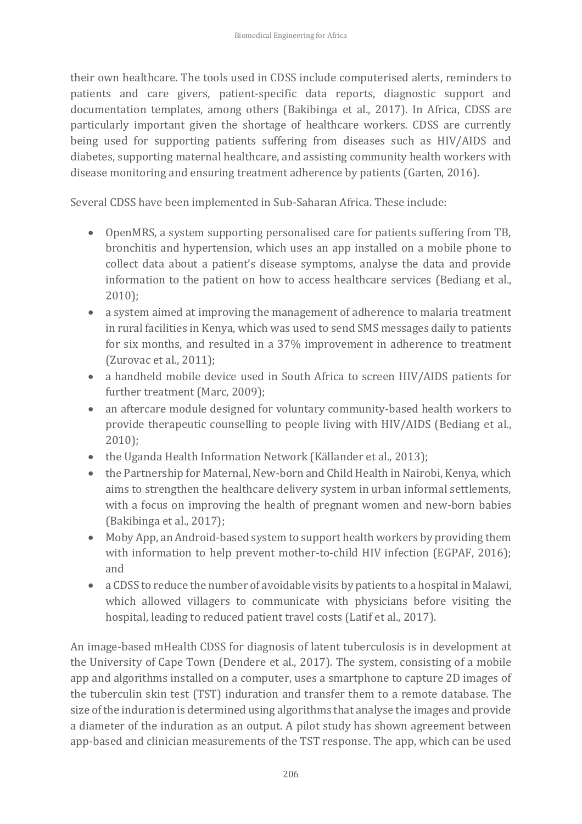their own healthcare. The tools used in CDSS include computerised alerts, reminders to patients and care givers, patient-specific data reports, diagnostic support and documentation templates, among others (Bakibinga et al., 2017). In Africa, CDSS are particularly important given the shortage of healthcare workers. CDSS are currently being used for supporting patients suffering from diseases such as HIV/AIDS and diabetes, supporting maternal healthcare, and assisting community health workers with disease monitoring and ensuring treatment adherence by patients (Garten, 2016).

Several CDSS have been implemented in Sub-Saharan Africa. These include:

- OpenMRS, a system supporting personalised care for patients suffering from TB, bronchitis and hypertension, which uses an app installed on a mobile phone to collect data about a patient's disease symptoms, analyse the data and provide information to the patient on how to access healthcare services (Bediang et al., 2010);
- a system aimed at improving the management of adherence to malaria treatment in rural facilities in Kenya, which was used to send SMS messages daily to patients for six months, and resulted in a 37% improvement in adherence to treatment (Zurovac et al., 2011);
- a handheld mobile device used in South Africa to screen HIV/AIDS patients for further treatment (Marc, 2009);
- an aftercare module designed for voluntary community-based health workers to provide therapeutic counselling to people living with HIV/AIDS (Bediang et al., 2010);
- the Uganda Health Information Network (Källander et al., 2013);
- the Partnership for Maternal, New-born and Child Health in Nairobi, Kenya, which aims to strengthen the healthcare delivery system in urban informal settlements, with a focus on improving the health of pregnant women and new-born babies (Bakibinga et al., 2017);
- Moby App, an Android-based system to support health workers by providing them with information to help prevent mother-to-child HIV infection (EGPAF, 2016); and
- a CDSS to reduce the number of avoidable visits by patients to a hospital in Malawi, which allowed villagers to communicate with physicians before visiting the hospital, leading to reduced patient travel costs (Latif et al., 2017).

An image-based mHealth CDSS for diagnosis of latent tuberculosis is in development at the University of Cape Town (Dendere et al., 2017). The system, consisting of a mobile app and algorithms installed on a computer, uses a smartphone to capture 2D images of the tuberculin skin test (TST) induration and transfer them to a remote database. The size of the induration is determined using algorithms that analyse the images and provide a diameter of the induration as an output. A pilot study has shown agreement between app-based and clinician measurements of the TST response. The app, which can be used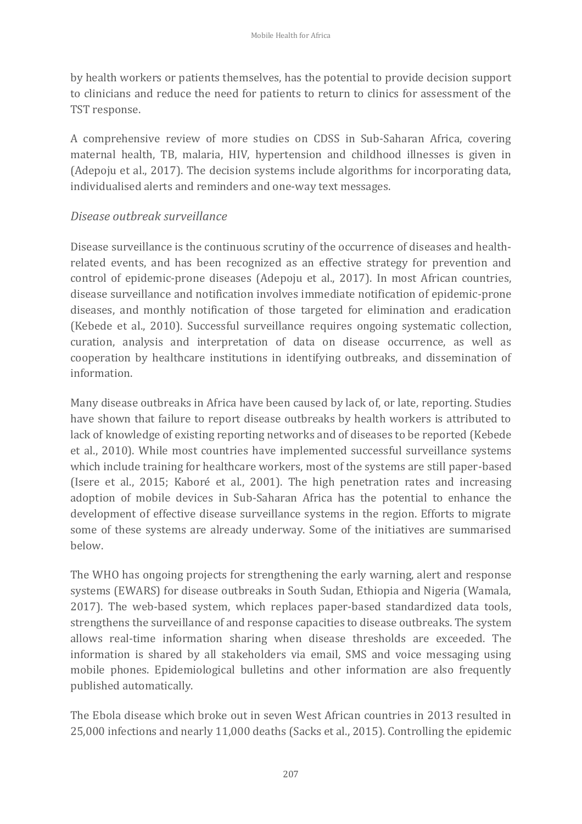by health workers or patients themselves, has the potential to provide decision support to clinicians and reduce the need for patients to return to clinics for assessment of the TST response.

A comprehensive review of more studies on CDSS in Sub-Saharan Africa, covering maternal health, TB, malaria, HIV, hypertension and childhood illnesses is given in (Adepoju et al., 2017). The decision systems include algorithms for incorporating data, individualised alerts and reminders and one-way text messages.

#### *Disease outbreak surveillance*

Disease surveillance is the continuous scrutiny of the occurrence of diseases and healthrelated events, and has been recognized as an effective strategy for prevention and control of epidemic-prone diseases (Adepoju et al., 2017). In most African countries, disease surveillance and notification involves immediate notification of epidemic-prone diseases, and monthly notification of those targeted for elimination and eradication (Kebede et al., 2010). Successful surveillance requires ongoing systematic collection, curation, analysis and interpretation of data on disease occurrence, as well as cooperation by healthcare institutions in identifying outbreaks, and dissemination of information.

Many disease outbreaks in Africa have been caused by lack of, or late, reporting. Studies have shown that failure to report disease outbreaks by health workers is attributed to lack of knowledge of existing reporting networks and of diseases to be reported (Kebede et al., 2010). While most countries have implemented successful surveillance systems which include training for healthcare workers, most of the systems are still paper-based (Isere et al., 2015; Kaboré et al., 2001). The high penetration rates and increasing adoption of mobile devices in Sub-Saharan Africa has the potential to enhance the development of effective disease surveillance systems in the region. Efforts to migrate some of these systems are already underway. Some of the initiatives are summarised below.

The WHO has ongoing projects for strengthening the early warning, alert and response systems (EWARS) for disease outbreaks in South Sudan, Ethiopia and Nigeria (Wamala, 2017). The web-based system, which replaces paper-based standardized data tools, strengthens the surveillance of and response capacities to disease outbreaks. The system allows real-time information sharing when disease thresholds are exceeded. The information is shared by all stakeholders via email, SMS and voice messaging using mobile phones. Epidemiological bulletins and other information are also frequently published automatically.

The Ebola disease which broke out in seven West African countries in 2013 resulted in 25,000 infections and nearly 11,000 deaths (Sacks et al., 2015). Controlling the epidemic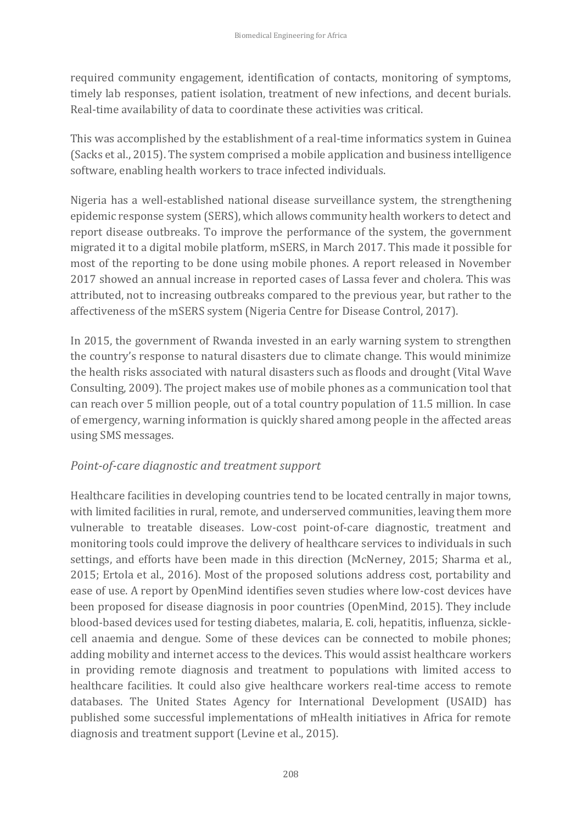required community engagement, identification of contacts, monitoring of symptoms, timely lab responses, patient isolation, treatment of new infections, and decent burials. Real-time availability of data to coordinate these activities was critical.

This was accomplished by the establishment of a real-time informatics system in Guinea (Sacks et al., 2015). The system comprised a mobile application and business intelligence software, enabling health workers to trace infected individuals.

Nigeria has a well-established national disease surveillance system, the strengthening epidemic response system (SERS), which allows community health workers to detect and report disease outbreaks. To improve the performance of the system, the government migrated it to a digital mobile platform, mSERS, in March 2017. This made it possible for most of the reporting to be done using mobile phones. A report released in November 2017 showed an annual increase in reported cases of Lassa fever and cholera. This was attributed, not to increasing outbreaks compared to the previous year, but rather to the affectiveness of the mSERS system (Nigeria Centre for Disease Control, 2017).

In 2015, the government of Rwanda invested in an early warning system to strengthen the country's response to natural disasters due to climate change. This would minimize the health risks associated with natural disasters such as floods and drought (Vital Wave Consulting, 2009). The project makes use of mobile phones as a communication tool that can reach over 5 million people, out of a total country population of 11.5 million. In case of emergency, warning information is quickly shared among people in the affected areas using SMS messages.

### *Point-of-care diagnostic and treatment support*

Healthcare facilities in developing countries tend to be located centrally in major towns, with limited facilities in rural, remote, and underserved communities, leaving them more vulnerable to treatable diseases. Low-cost point-of-care diagnostic, treatment and monitoring tools could improve the delivery of healthcare services to individuals in such settings, and efforts have been made in this direction (McNerney, 2015; Sharma et al., 2015; Ertola et al., 2016). Most of the proposed solutions address cost, portability and ease of use. A report by OpenMind identifies seven studies where low-cost devices have been proposed for disease diagnosis in poor countries (OpenMind, 2015). They include blood-based devices used for testing diabetes, malaria, E. coli, hepatitis, influenza, sicklecell anaemia and dengue. Some of these devices can be connected to mobile phones; adding mobility and internet access to the devices. This would assist healthcare workers in providing remote diagnosis and treatment to populations with limited access to healthcare facilities. It could also give healthcare workers real-time access to remote databases. The United States Agency for International Development (USAID) has published some successful implementations of mHealth initiatives in Africa for remote diagnosis and treatment support (Levine et al., 2015).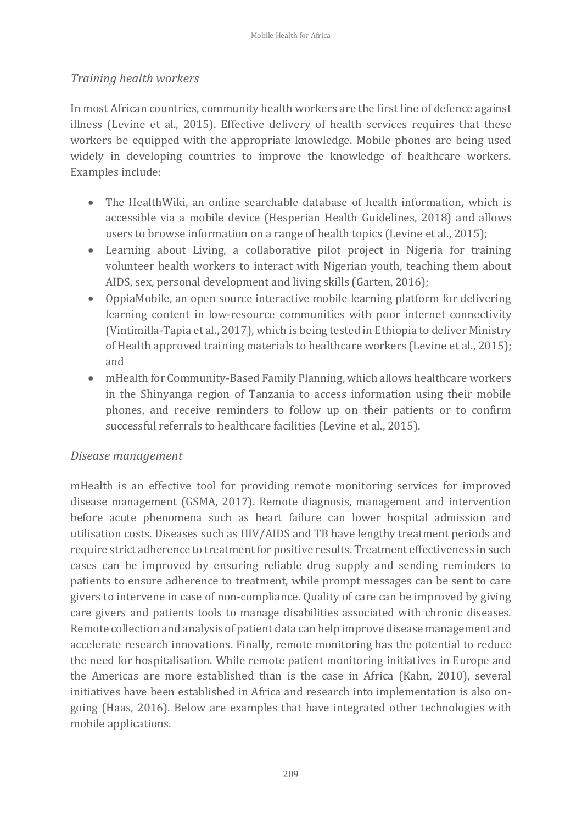#### *Training health workers*

In most African countries, community health workers are the first line of defence against illness (Levine et al., 2015). Effective delivery of health services requires that these workers be equipped with the appropriate knowledge. Mobile phones are being used widely in developing countries to improve the knowledge of healthcare workers. Examples include:

- The HealthWiki, an online searchable database of health information, which is accessible via a mobile device (Hesperian Health Guidelines, 2018) and allows users to browse information on a range of health topics (Levine et al., 2015);
- Learning about Living, a collaborative pilot project in Nigeria for training volunteer health workers to interact with Nigerian youth, teaching them about AIDS, sex, personal development and living skills (Garten, 2016);
- OppiaMobile, an open source interactive mobile learning platform for delivering learning content in low-resource communities with poor internet connectivity (Vintimilla-Tapia et al., 2017), which is being tested in Ethiopia to deliver Ministry of Health approved training materials to healthcare workers (Levine et al., 2015); and
- mHealth for Community-Based Family Planning, which allows healthcare workers in the Shinyanga region of Tanzania to access information using their mobile phones, and receive reminders to follow up on their patients or to confirm successful referrals to healthcare facilities (Levine et al., 2015).

#### *Disease management*

mHealth is an effective tool for providing remote monitoring services for improved disease management (GSMA, 2017). Remote diagnosis, management and intervention before acute phenomena such as heart failure can lower hospital admission and utilisation costs. Diseases such as HIV/AIDS and TB have lengthy treatment periods and require strict adherence to treatment for positive results. Treatment effectiveness in such cases can be improved by ensuring reliable drug supply and sending reminders to patients to ensure adherence to treatment, while prompt messages can be sent to care givers to intervene in case of non-compliance. Quality of care can be improved by giving care givers and patients tools to manage disabilities associated with chronic diseases. Remote collection and analysis of patient data can help improve disease management and accelerate research innovations. Finally, remote monitoring has the potential to reduce the need for hospitalisation. While remote patient monitoring initiatives in Europe and the Americas are more established than is the case in Africa (Kahn, 2010), several initiatives have been established in Africa and research into implementation is also ongoing (Haas, 2016). Below are examples that have integrated other technologies with mobile applications.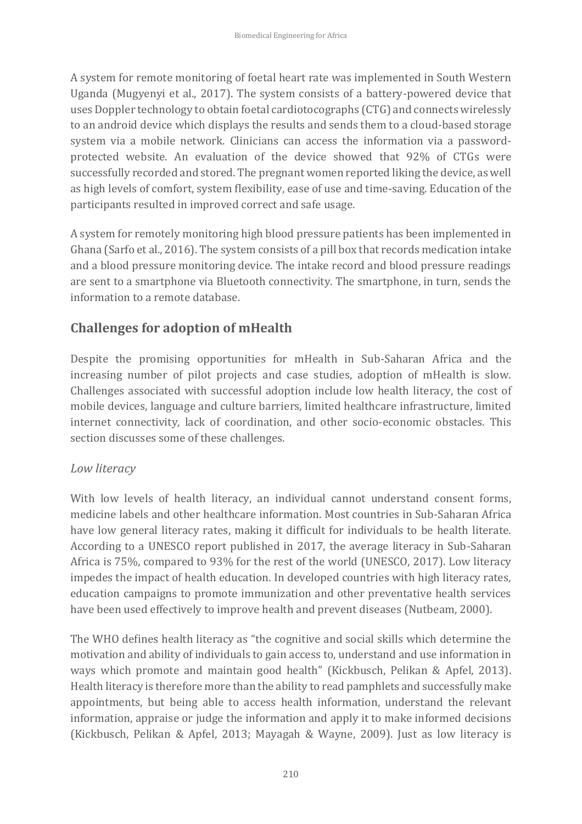A system for remote monitoring of foetal heart rate was implemented in South Western Uganda (Mugyenyi et al., 2017). The system consists of a battery-powered device that uses Doppler technology to obtain foetal cardiotocographs (CTG) and connects wirelessly to an android device which displays the results and sends them to a cloud-based storage system via a mobile network. Clinicians can access the information via a passwordprotected website. An evaluation of the device showed that 92% of CTGs were successfully recorded and stored. The pregnant women reported liking the device, as well as high levels of comfort, system flexibility, ease of use and time-saving. Education of the participants resulted in improved correct and safe usage.

A system for remotely monitoring high blood pressure patients has been implemented in Ghana (Sarfo et al., 2016). The system consists of a pill box that records medication intake and a blood pressure monitoring device. The intake record and blood pressure readings are sent to a smartphone via Bluetooth connectivity. The smartphone, in turn, sends the information to a remote database.

# **Challenges for adoption of mHealth**

Despite the promising opportunities for mHealth in Sub-Saharan Africa and the increasing number of pilot projects and case studies, adoption of mHealth is slow. Challenges associated with successful adoption include low health literacy, the cost of mobile devices, language and culture barriers, limited healthcare infrastructure, limited internet connectivity, lack of coordination, and other socio-economic obstacles. This section discusses some of these challenges.

### *Low literacy*

With low levels of health literacy, an individual cannot understand consent forms, medicine labels and other healthcare information. Most countries in Sub-Saharan Africa have low general literacy rates, making it difficult for individuals to be health literate. According to a UNESCO report published in 2017, the average literacy in Sub-Saharan Africa is 75%, compared to 93% for the rest of the world (UNESCO, 2017). Low literacy impedes the impact of health education. In developed countries with high literacy rates, education campaigns to promote immunization and other preventative health services have been used effectively to improve health and prevent diseases (Nutbeam, 2000).

The WHO defines health literacy as "the cognitive and social skills which determine the motivation and ability of individuals to gain access to, understand and use information in ways which promote and maintain good health" (Kickbusch, Pelikan & Apfel, 2013). Health literacy is therefore more than the ability to read pamphlets and successfully make appointments, but being able to access health information, understand the relevant information, appraise or judge the information and apply it to make informed decisions (Kickbusch, Pelikan & Apfel, 2013; Mayagah & Wayne, 2009). Just as low literacy is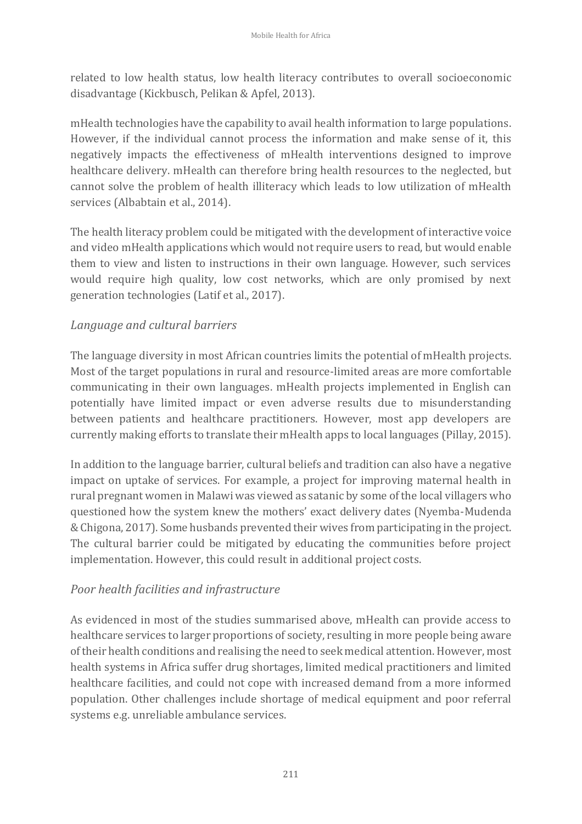related to low health status, low health literacy contributes to overall socioeconomic disadvantage (Kickbusch, Pelikan & Apfel, 2013).

mHealth technologies have the capability to avail health information to large populations. However, if the individual cannot process the information and make sense of it, this negatively impacts the effectiveness of mHealth interventions designed to improve healthcare delivery. mHealth can therefore bring health resources to the neglected, but cannot solve the problem of health illiteracy which leads to low utilization of mHealth services (Albabtain et al., 2014).

The health literacy problem could be mitigated with the development of interactive voice and video mHealth applications which would not require users to read, but would enable them to view and listen to instructions in their own language. However, such services would require high quality, low cost networks, which are only promised by next generation technologies (Latif et al., 2017).

### *Language and cultural barriers*

The language diversity in most African countries limits the potential of mHealth projects. Most of the target populations in rural and resource-limited areas are more comfortable communicating in their own languages. mHealth projects implemented in English can potentially have limited impact or even adverse results due to misunderstanding between patients and healthcare practitioners. However, most app developers are currently making efforts to translate their mHealth apps to local languages (Pillay, 2015).

In addition to the language barrier, cultural beliefs and tradition can also have a negative impact on uptake of services. For example, a project for improving maternal health in rural pregnant women in Malawi was viewed as satanic by some of the local villagers who questioned how the system knew the mothers' exact delivery dates (Nyemba-Mudenda & Chigona, 2017). Some husbands prevented their wives from participating in the project. The cultural barrier could be mitigated by educating the communities before project implementation. However, this could result in additional project costs.

#### *Poor health facilities and infrastructure*

As evidenced in most of the studies summarised above, mHealth can provide access to healthcare services to larger proportions of society, resulting in more people being aware of their health conditions and realising the need to seek medical attention. However, most health systems in Africa suffer drug shortages, limited medical practitioners and limited healthcare facilities, and could not cope with increased demand from a more informed population. Other challenges include shortage of medical equipment and poor referral systems e.g. unreliable ambulance services.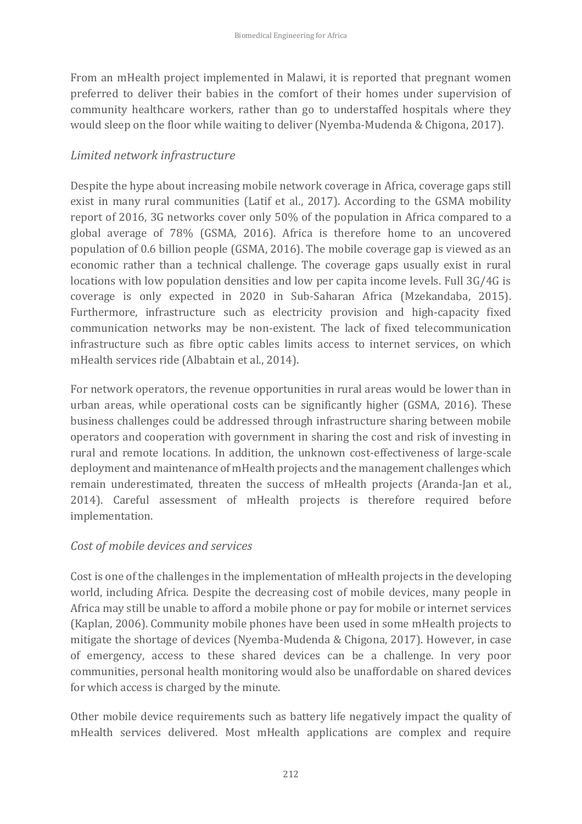From an mHealth project implemented in Malawi, it is reported that pregnant women preferred to deliver their babies in the comfort of their homes under supervision of community healthcare workers, rather than go to understaffed hospitals where they would sleep on the floor while waiting to deliver (Nyemba-Mudenda & Chigona, 2017).

### *Limited network infrastructure*

Despite the hype about increasing mobile network coverage in Africa, coverage gaps still exist in many rural communities (Latif et al., 2017). According to the GSMA mobility report of 2016, 3G networks cover only 50% of the population in Africa compared to a global average of 78% (GSMA, 2016). Africa is therefore home to an uncovered population of 0.6 billion people (GSMA, 2016). The mobile coverage gap is viewed as an economic rather than a technical challenge. The coverage gaps usually exist in rural locations with low population densities and low per capita income levels. Full 3G/4G is coverage is only expected in 2020 in Sub-Saharan Africa (Mzekandaba, 2015). Furthermore, infrastructure such as electricity provision and high-capacity fixed communication networks may be non-existent. The lack of fixed telecommunication infrastructure such as fibre optic cables limits access to internet services, on which mHealth services ride (Albabtain et al., 2014).

For network operators, the revenue opportunities in rural areas would be lower than in urban areas, while operational costs can be significantly higher (GSMA, 2016). These business challenges could be addressed through infrastructure sharing between mobile operators and cooperation with government in sharing the cost and risk of investing in rural and remote locations. In addition, the unknown cost-effectiveness of large-scale deployment and maintenance of mHealth projects and the management challenges which remain underestimated, threaten the success of mHealth projects (Aranda-Jan et al., 2014). Careful assessment of mHealth projects is therefore required before implementation.

### *Cost of mobile devices and services*

Cost is one of the challenges in the implementation of mHealth projects in the developing world, including Africa. Despite the decreasing cost of mobile devices, many people in Africa may still be unable to afford a mobile phone or pay for mobile or internet services (Kaplan, 2006). Community mobile phones have been used in some mHealth projects to mitigate the shortage of devices (Nyemba-Mudenda & Chigona, 2017). However, in case of emergency, access to these shared devices can be a challenge. In very poor communities, personal health monitoring would also be unaffordable on shared devices for which access is charged by the minute.

Other mobile device requirements such as battery life negatively impact the quality of mHealth services delivered. Most mHealth applications are complex and require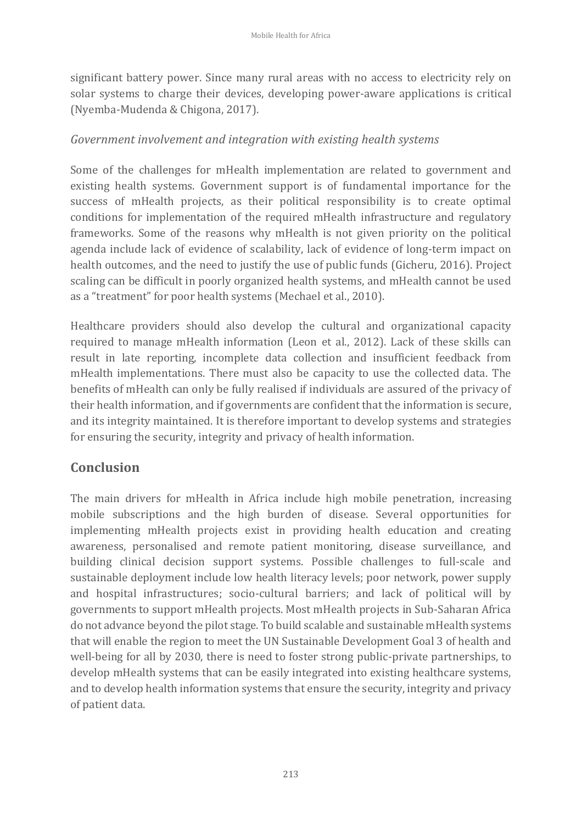significant battery power. Since many rural areas with no access to electricity rely on solar systems to charge their devices, developing power-aware applications is critical (Nyemba-Mudenda & Chigona, 2017).

### *Government involvement and integration with existing health systems*

Some of the challenges for mHealth implementation are related to government and existing health systems. Government support is of fundamental importance for the success of mHealth projects, as their political responsibility is to create optimal conditions for implementation of the required mHealth infrastructure and regulatory frameworks. Some of the reasons why mHealth is not given priority on the political agenda include lack of evidence of scalability, lack of evidence of long-term impact on health outcomes, and the need to justify the use of public funds (Gicheru, 2016). Project scaling can be difficult in poorly organized health systems, and mHealth cannot be used as a "treatment" for poor health systems (Mechael et al., 2010).

Healthcare providers should also develop the cultural and organizational capacity required to manage mHealth information (Leon et al., 2012). Lack of these skills can result in late reporting, incomplete data collection and insufficient feedback from mHealth implementations. There must also be capacity to use the collected data. The benefits of mHealth can only be fully realised if individuals are assured of the privacy of their health information, and if governments are confident that the information is secure, and its integrity maintained. It is therefore important to develop systems and strategies for ensuring the security, integrity and privacy of health information.

### **Conclusion**

The main drivers for mHealth in Africa include high mobile penetration, increasing mobile subscriptions and the high burden of disease. Several opportunities for implementing mHealth projects exist in providing health education and creating awareness, personalised and remote patient monitoring, disease surveillance, and building clinical decision support systems. Possible challenges to full-scale and sustainable deployment include low health literacy levels; poor network, power supply and hospital infrastructures; socio-cultural barriers; and lack of political will by governments to support mHealth projects. Most mHealth projects in Sub-Saharan Africa do not advance beyond the pilot stage. To build scalable and sustainable mHealth systems that will enable the region to meet the UN Sustainable Development Goal 3 of health and well-being for all by 2030, there is need to foster strong public-private partnerships, to develop mHealth systems that can be easily integrated into existing healthcare systems, and to develop health information systems that ensure the security, integrity and privacy of patient data.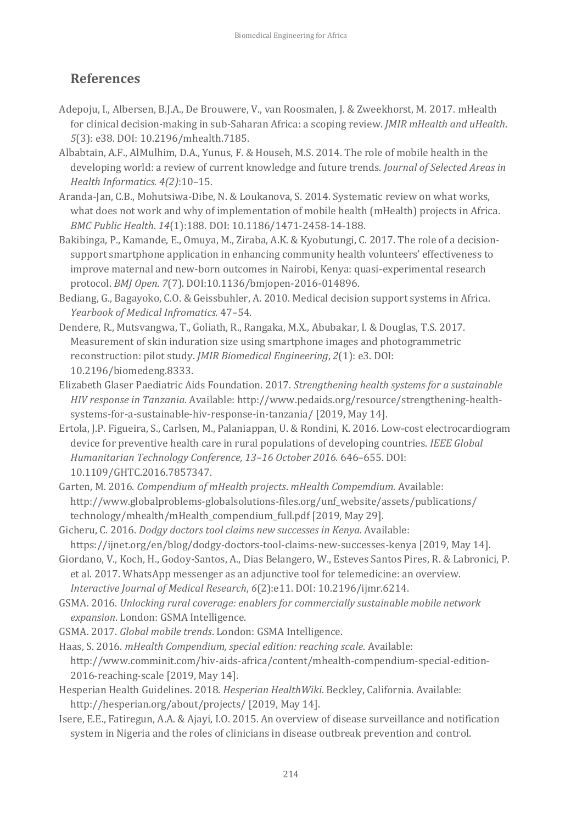## **References**

- Adepoju, I., Albersen, B.J.A., De Brouwere, V., van Roosmalen, J. & Zweekhorst, M. 2017. mHealth for clinical decision-making in sub-Saharan Africa: a scoping review. *JMIR mHealth and uHealth*. *5*(3): e38. DOI: 10.2196/mhealth.7185.
- Albabtain, A.F., AlMulhim, D.A., Yunus, F. & Househ, M.S. 2014. The role of mobile health in the developing world: a review of current knowledge and future trends. *Journal of Selected Areas in Health Informatics. 4(2)*:10–15.
- Aranda-Jan, C.B., Mohutsiwa-Dibe, N. & Loukanova, S. 2014. Systematic review on what works, what does not work and why of implementation of mobile health (mHealth) projects in Africa. *BMC Public Health*. *14*(1):188. DOI: 10.1186/1471-2458-14-188.
- Bakibinga, P., Kamande, E., Omuya, M., Ziraba, A.K. & Kyobutungi, C. 2017. The role of a decisionsupport smartphone application in enhancing community health volunteers' effectiveness to improve maternal and new-born outcomes in Nairobi, Kenya: quasi-experimental research protocol. *BMJ Open*. *7*(7). DOI:10.1136/bmjopen-2016-014896.
- Bediang, G., Bagayoko, C.O. & Geissbuhler, A. 2010. Medical decision support systems in Africa. *Yearbook of Medical Infromatics.* 47–54.
- Dendere, R., Mutsvangwa, T., Goliath, R., Rangaka, M.X., Abubakar, I. & Douglas, T.S. 2017. Measurement of skin induration size using smartphone images and photogrammetric reconstruction: pilot study. *JMIR Biomedical Engineering*, *2*(1): e3. DOI: 10.2196/biomedeng.8333.
- Elizabeth Glaser Paediatric Aids Foundation. 2017. *Strengthening health systems for a sustainable HIV response in Tanzania.* Available: http://www.pedaids.org/resource/strengthening-healthsystems-for-a-sustainable-hiv-response-in-tanzania/ [2019, May 14].
- Ertola, J.P. Figueira, S., Carlsen, M., Palaniappan, U. & Rondini, K. 2016. Low-cost electrocardiogram device for preventive health care in rural populations of developing countries. *IEEE Global Humanitarian Technology Conference, 13*–*16 October 2016.* 646–655. DOI: 10.1109/GHTC.2016.7857347.
- Garten, M. 2016. *Compendium of mHealth projects*. *mHealth Compemdium.* Available: http://www.globalproblems-globalsolutions-files.org/unf\_website/assets/publications/ technology/mhealth/mHealth\_compendium\_full.pdf [2019, May 29].
- Gicheru, C. 2016. *Dodgy doctors tool claims new successes in Kenya.* Available: https://ijnet.org/en/blog/dodgy-doctors-tool-claims-new-successes-kenya [2019, May 14].
- Giordano, V., Koch, H., Godoy-Santos, A., Dias Belangero, W., Esteves Santos Pires, R. & Labronici, P. et al. 2017. WhatsApp messenger as an adjunctive tool for telemedicine: an overview. *Interactive Journal of Medical Research*, *6*(2):e11. DOI: 10.2196/ijmr.6214.
- GSMA. 2016. *Unlocking rural coverage: enablers for commercially sustainable mobile network expansion*. London: GSMA Intelligence.
- GSMA. 2017. *Global mobile trends*. London: GSMA Intelligence.
- Haas, S. 2016. *mHealth Compendium, special edition: reaching scale*. Available: http://www.comminit.com/hiv-aids-africa/content/mhealth-compendium-special-edition-2016-reaching-scale [2019, May 14].
- Hesperian Health Guidelines. 2018. *Hesperian HealthWiki*. Beckley, California. Available: http://hesperian.org/about/projects/ [2019, May 14].
- Isere, E.E., Fatiregun, A.A. & Ajayi, I.O. 2015. An overview of disease surveillance and notification system in Nigeria and the roles of clinicians in disease outbreak prevention and control.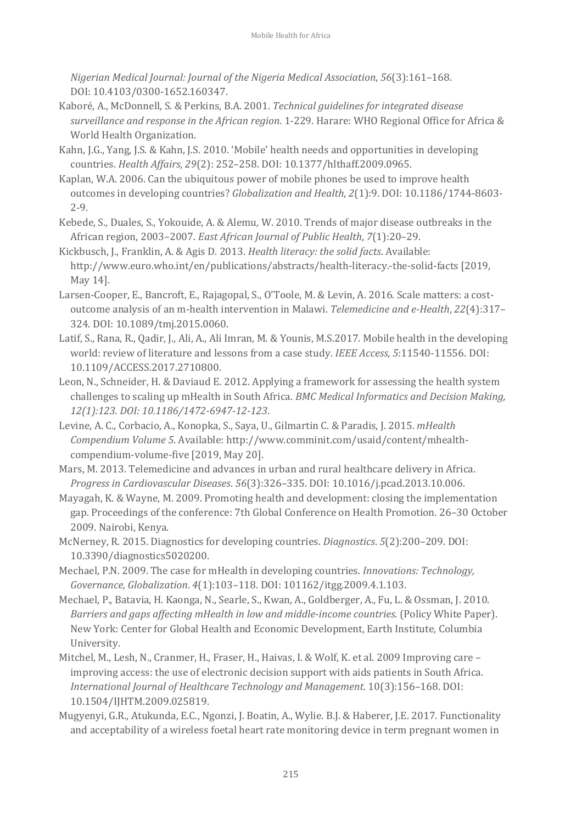*Nigerian Medical Journal: Journal of the Nigeria Medical Association*, *56*(3):161–168. DOI: 10.4103/0300-1652.160347.

- Kaboré, A., McDonnell, S. & Perkins, B.A. 2001. *Technical guidelines for integrated disease surveillance and response in the African region*. 1-229. Harare: WHO Regional Office for Africa & World Health Organization.
- Kahn, J.G., Yang, J.S. & Kahn, J.S. 2010. 'Mobile' health needs and opportunities in developing countries. *Health Affairs*, *29*(2): 252–258. DOI: 10.1377/hlthaff.2009.0965.
- Kaplan, W.A. 2006. Can the ubiquitous power of mobile phones be used to improve health outcomes in developing countries? *Globalization and Health*, *2*(1):9. DOI: 10.1186/1744-8603- 2-9.
- Kebede, S., Duales, S., Yokouide, A. & Alemu, W. 2010. Trends of major disease outbreaks in the African region, 2003–2007. *East African Journal of Public Health*, *7*(1):20–29.
- Kickbusch, J., Franklin, A. & Agis D. 2013. *Health literacy: the solid facts*. Available: http://www.euro.who.int/en/publications/abstracts/health-literacy.-the-solid-facts [2019, May 14].
- Larsen-Cooper, E., Bancroft, E., Rajagopal, S., O'Toole, M. & Levin, A. 2016. Scale matters: a costoutcome analysis of an m-health intervention in Malawi. *Telemedicine and e-Health*, *22*(4):317– 324. DOI: 10.1089/tmj.2015.0060.
- Latif, S., Rana, R., Qadir, J., Ali, A., Ali Imran, M. & Younis, M.S.2017. Mobile health in the developing world: review of literature and lessons from a case study. *IEEE Access, 5*:11540-11556. DOI: 10.1109/ACCESS.2017.2710800.
- Leon, N., Schneider, H. & Daviaud E. 2012. Applying a framework for assessing the health system challenges to scaling up mHealth in South Africa. *BMC Medical Informatics and Decision Making, 12(1):123. DOI: 10.1186/1472-6947-12-123*.
- Levine, A. C., Corbacio, A., Konopka, S., Saya, U., Gilmartin C. & Paradis, J. 2015. *mHealth Compendium Volume 5*. Available: http://www.comminit.com/usaid/content/mhealthcompendium-volume-five [2019, May 20].
- Mars, M. 2013. Telemedicine and advances in urban and rural healthcare delivery in Africa. *Progress in Cardiovascular Diseases*. *56*(3):326–335. DOI: 10.1016/j.pcad.2013.10.006.
- Mayagah, K. & Wayne, M. 2009. Promoting health and development: closing the implementation gap. Proceedings of the conference: 7th Global Conference on Health Promotion. 26–30 October 2009. Nairobi, Kenya.
- McNerney, R. 2015. Diagnostics for developing countries. *Diagnostics*. *5*(2):200–209. DOI: 10.3390/diagnostics5020200.
- Mechael, P.N. 2009. The case for mHealth in developing countries. *Innovations: Technology, Governance, Globalization*. *4*(1):103–118. DOI: 101162/itgg.2009.4.1.103.
- Mechael, P., Batavia, H. Kaonga, N., Searle, S., Kwan, A., Goldberger, A., Fu, L. & Ossman, J. 2010. *Barriers and gaps affecting mHealth in low and middle-income countries*. (Policy White Paper). New York: Center for Global Health and Economic Development, Earth Institute, Columbia University.
- Mitchel, M., Lesh, N., Cranmer, H., Fraser, H., Haivas, I. & Wolf, K. et al. 2009 Improving care improving access: the use of electronic decision support with aids patients in South Africa. *International Journal of Healthcare Technology and Management*. 10(3):156–168. DOI: 10.1504/IJHTM.2009.025819.
- Mugyenyi, G.R., Atukunda, E.C., Ngonzi, J. Boatin, A., Wylie. B.J. & Haberer, J.E. 2017. Functionality and acceptability of a wireless foetal heart rate monitoring device in term pregnant women in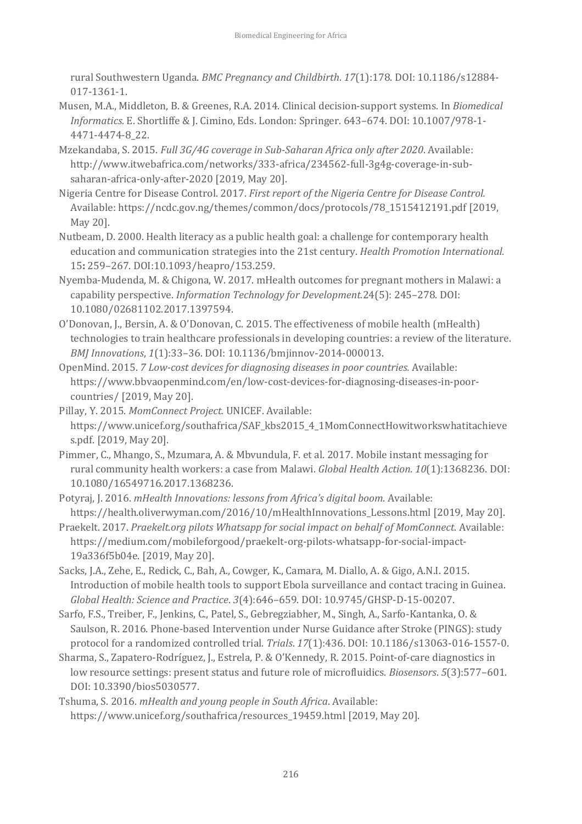rural Southwestern Uganda. *BMC Pregnancy and Childbirth*. *17*(1):178. DOI: 10.1186/s12884- 017-1361-1.

- Musen, M.A., Middleton, B. & Greenes, R.A. 2014. Clinical decision-support systems. In *Biomedical Informatics.* E. Shortliffe & J. Cimino, Eds. London: Springer. 643–674. DOI: 10.1007/978-1- 4471-4474-8\_22.
- Mzekandaba, S. 2015. *Full 3G/4G coverage in Sub-Saharan Africa only after 2020*. Available: http://www.itwebafrica.com/networks/333-africa/234562-full-3g4g-coverage-in-subsaharan-africa-only-after-2020 [2019, May 20].
- Nigeria Centre for Disease Control. 2017. *First report of the Nigeria Centre for Disease Control.* Available: https://ncdc.gov.ng/themes/common/docs/protocols/78\_1515412191.pdf [2019, May 20].
- Nutbeam, D. 2000. Health literacy as a public health goal: a challenge for contemporary health education and communication strategies into the 21st century. *Health Promotion International.* 15**:** 259–267. DOI:10.1093/heapro/153.259.
- Nyemba-Mudenda, M. & Chigona, W. 2017. mHealth outcomes for pregnant mothers in Malawi: a capability perspective. *Information Technology for Development.*24(5): 245–278. DOI: 10.1080/02681102.2017.1397594.
- O'Donovan, J., Bersin, A. & O'Donovan, C. 2015. The effectiveness of mobile health (mHealth) technologies to train healthcare professionals in developing countries: a review of the literature. *BMJ Innovations*, *1*(1):33–36. DOI: 10.1136/bmjinnov-2014-000013.
- OpenMind. 2015. *7 Low-cost devices for diagnosing diseases in poor countries.* Available: https://www.bbvaopenmind.com/en/low-cost-devices-for-diagnosing-diseases-in-poorcountries/ [2019, May 20].
- Pillay, Y. 2015. *MomConnect Project.* UNICEF. Available: https://www.unicef.org/southafrica/SAF\_kbs2015\_4\_1MomConnectHowitworkswhatitachieve s.pdf. [2019, May 20].
- Pimmer, C., Mhango, S., Mzumara, A. & Mbvundula, F. et al. 2017. Mobile instant messaging for rural community health workers: a case from Malawi. *Global Health Action. 10*(1):1368236. DOI: 10.1080/16549716.2017.1368236.
- Potyraj, J. 2016. *mHealth Innovations: lessons from Africa's digital boom*. Available: https://health.oliverwyman.com/2016/10/mHealthInnovations\_Lessons.html [2019, May 20].
- Praekelt. 2017. *Praekelt.org pilots Whatsapp for social impact on behalf of MomConnect*. Available: https://medium.com/mobileforgood/praekelt-org-pilots-whatsapp-for-social-impact-19a336f5b04e. [2019, May 20].
- Sacks, J.A., Zehe, E., Redick, C., Bah, A., Cowger, K., Camara, M. Diallo, A. & Gigo, A.N.I. 2015. Introduction of mobile health tools to support Ebola surveillance and contact tracing in Guinea. *Global Health: Science and Practice*. *3*(4):646–659. DOI: 10.9745/GHSP-D-15-00207.
- Sarfo, F.S., Treiber, F., Jenkins, C., Patel, S., Gebregziabher, M., Singh, A., Sarfo-Kantanka, O. & Saulson, R. 2016. Phone-based Intervention under Nurse Guidance after Stroke (PINGS): study protocol for a randomized controlled trial. *Trials*. *17*(1):436. DOI: 10.1186/s13063-016-1557-0.
- Sharma, S., Zapatero-Rodríguez, J., Estrela, P. & O'Kennedy, R. 2015. Point-of-care diagnostics in low resource settings: present status and future role of microfluidics. *Biosensors*. *5*(3):577–601. DOI: 10.3390/bios5030577.
- Tshuma, S. 2016. *mHealth and young people in South Africa*. Available: https://www.unicef.org/southafrica/resources\_19459.html [2019, May 20].